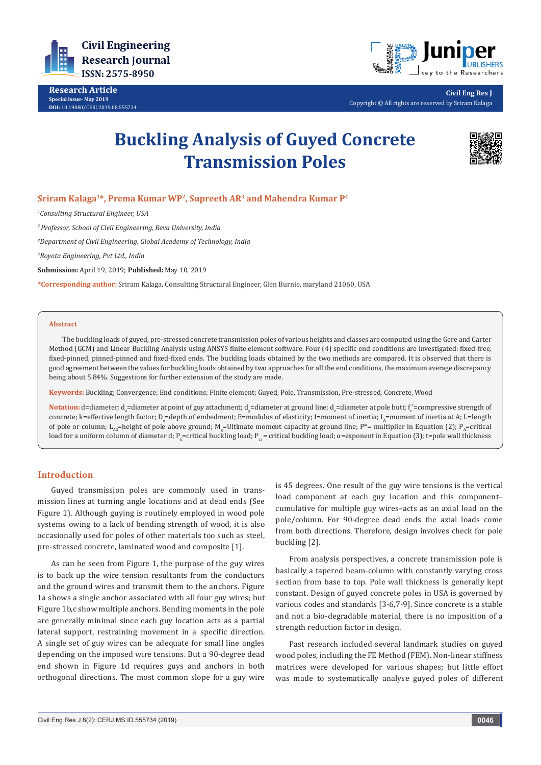

**Research Article Special Issue- May 2019 DOI:** [10.19080/CERJ.2019.08.555734](http://dx.doi.org/10.19080/CERJ.2019.08.555734)



**Civil Eng Res J** Copyright © All rights are reserved by Sriram Kalaga

# **Buckling Analysis of Guyed Concrete Transmission Poles**



# **Sriram Kalaga1\*, Prema Kumar WP2, Supreeth AR3 and Mahendra Kumar P4**

*1 Consulting Structural Engineer, USA*

*2 Professor, School of Civil Engineering, Reva University, India*

*3 Department of Civil Engineering, Global Academy of Technology, India*

*4 Royota Engineering, Pvt Ltd., India*

**Submission:** April 19, 2019; **Published:** May 10, 2019

**\*Corresponding author:** Sriram Kalaga, Consulting Structural Engineer, Glen Burnie, maryland 21060, USA

#### **Abstract**

The buckling loads of guyed, pre-stressed concrete transmission poles of various heights and classes are computed using the Gere and Carter Method (GCM) and Linear Buckling Analysis using ANSYS finite element software. Four (4) specific end conditions are investigated: fixed-free, fixed-pinned, pinned-pinned and fixed-fixed ends. The buckling loads obtained by the two methods are compared. It is observed that there is good agreement between the values for buckling loads obtained by two approaches for all the end conditions, the maximum average discrepancy being about 5.84%. Suggestions for further extension of the study are made.

**Keywords:** Buckling; Convergence; End conditions; Finite element; Guyed, Pole, Transmission, Pre-stressed, Concrete, Wood

 $\blacksquare$  Notation: d=diameter; d<sub>a</sub>=diameter at point of guy attachment; d<sub>g</sub>=diameter at ground line; d<sub>e</sub>=diameter at pole butt; f<sub>c</sub>'=compressive strength of concrete; k=effective length factor; D<sub>e</sub>=depth of embedment; E=modulus of elasticity; I=moment of inertia; I<sub>A</sub>=moment of inertia at A; L=length of pole or column;  $L_{AG}$ =height of pole above ground; M $_{\rm g}$ =Ultimate moment capacity at ground line; P\*= multiplier in Equation (2); P $_{\rm A}$ =critical load for a uniform column of diameter d; P<sub>E</sub>=critical buckling load; P<sub>E</sub>=critical buckling load; α=exponent in Equation (3); t=pole wall thickness

## **Introduction**

Guyed transmission poles are commonly used in transmission lines at turning angle locations and at dead ends (See Figure 1). Although guying is routinely employed in wood pole systems owing to a lack of bending strength of wood, it is also occasionally used for poles of other materials too such as steel, pre-stressed concrete, laminated wood and composite [1].

As can be seen from Figure 1, the purpose of the guy wires is to back up the wire tension resultants from the conductors and the ground wires and transmit them to the anchors. Figure 1a shows a single anchor associated with all four guy wires; but Figure 1b,c show multiple anchors. Bending moments in the pole are generally minimal since each guy location acts as a partial lateral support, restraining movement in a specific direction. A single set of guy wires can be adequate for small line angles depending on the imposed wire tensions. But a 90-degree dead end shown in Figure 1d requires guys and anchors in both orthogonal directions. The most common slope for a guy wire

is 45 degrees. One result of the guy wire tensions is the vertical load component at each guy location and this component– cumulative for multiple guy wires–acts as an axial load on the pole/column. For 90-degree dead ends the axial loads come from both directions. Therefore, design involves check for pole buckling [2].

From analysis perspectives, a concrete transmission pole is basically a tapered beam-column with constantly varying cross section from base to top. Pole wall thickness is generally kept constant. Design of guyed concrete poles in USA is governed by various codes and standards [3-6,7-9]. Since concrete is a stable and not a bio-degradable material, there is no imposition of a strength reduction factor in design.

Past research included several landmark studies on guyed wood poles, including the FE Method (FEM). Non-linear stiffness matrices were developed for various shapes; but little effort was made to systematically analyse guyed poles of different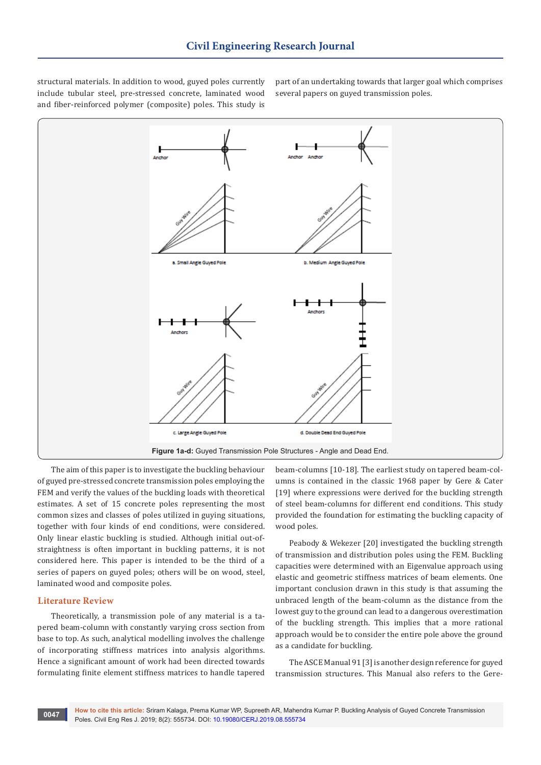structural materials. In addition to wood, guyed poles currently include tubular steel, pre-stressed concrete, laminated wood and fiber-reinforced polymer (composite) poles. This study is

part of an undertaking towards that larger goal which comprises several papers on guyed transmission poles.



The aim of this paper is to investigate the buckling behaviour of guyed pre-stressed concrete transmission poles employing the FEM and verify the values of the buckling loads with theoretical estimates. A set of 15 concrete poles representing the most common sizes and classes of poles utilized in guying situations, together with four kinds of end conditions, were considered. Only linear elastic buckling is studied. Although initial out-ofstraightness is often important in buckling patterns, it is not considered here. This paper is intended to be the third of a series of papers on guyed poles; others will be on wood, steel, laminated wood and composite poles.

#### **Literature Review**

Theoretically, a transmission pole of any material is a tapered beam-column with constantly varying cross section from base to top. As such, analytical modelling involves the challenge of incorporating stiffness matrices into analysis algorithms. Hence a significant amount of work had been directed towards formulating finite element stiffness matrices to handle tapered

beam-columns [10-18]. The earliest study on tapered beam-columns is contained in the classic 1968 paper by Gere & Cater [19] where expressions were derived for the buckling strength of steel beam-columns for different end conditions. This study provided the foundation for estimating the buckling capacity of wood poles.

Peabody & Wekezer [20] investigated the buckling strength of transmission and distribution poles using the FEM. Buckling capacities were determined with an Eigenvalue approach using elastic and geometric stiffness matrices of beam elements. One important conclusion drawn in this study is that assuming the unbraced length of the beam-column as the distance from the lowest guy to the ground can lead to a dangerous overestimation of the buckling strength. This implies that a more rational approach would be to consider the entire pole above the ground as a candidate for buckling.

The ASCE Manual 91 [3] is another design reference for guyed transmission structures. This Manual also refers to the Gere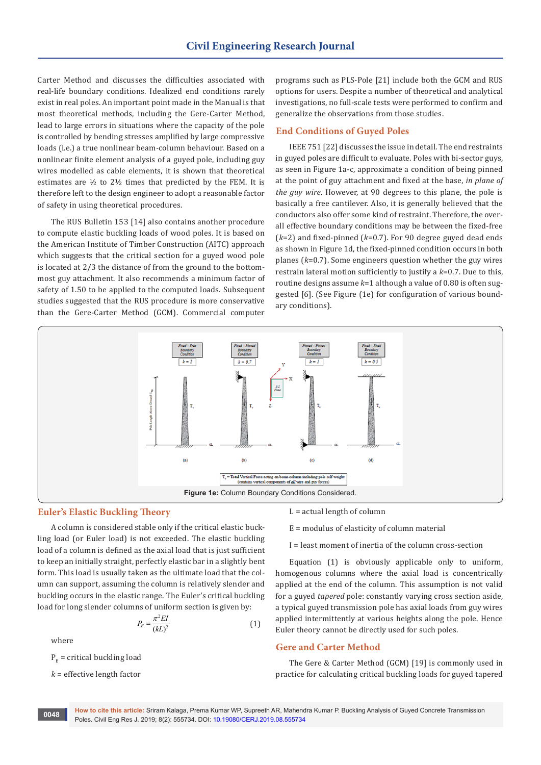Carter Method and discusses the difficulties associated with real-life boundary conditions. Idealized end conditions rarely exist in real poles. An important point made in the Manual is that most theoretical methods, including the Gere-Carter Method, lead to large errors in situations where the capacity of the pole is controlled by bending stresses amplified by large compressive loads (i.e.) a true nonlinear beam-column behaviour. Based on a nonlinear finite element analysis of a guyed pole, including guy wires modelled as cable elements, it is shown that theoretical estimates are ½ to 2½ times that predicted by the FEM. It is therefore left to the design engineer to adopt a reasonable factor of safety in using theoretical procedures.

The RUS Bulletin 153 [14] also contains another procedure to compute elastic buckling loads of wood poles. It is based on the American Institute of Timber Construction (AITC) approach which suggests that the critical section for a guyed wood pole is located at 2/3 the distance of from the ground to the bottommost guy attachment. It also recommends a minimum factor of safety of 1.50 to be applied to the computed loads. Subsequent studies suggested that the RUS procedure is more conservative than the Gere-Carter Method (GCM). Commercial computer

programs such as PLS-Pole [21] include both the GCM and RUS options for users. Despite a number of theoretical and analytical investigations, no full-scale tests were performed to confirm and generalize the observations from those studies.

## **End Conditions of Guyed Poles**

IEEE 751 [22] discusses the issue in detail. The end restraints in guyed poles are difficult to evaluate. Poles with bi-sector guys, as seen in Figure 1a-c, approximate a condition of being pinned at the point of guy attachment and fixed at the base, *in plane of the guy wire*. However, at 90 degrees to this plane, the pole is basically a free cantilever. Also, it is generally believed that the conductors also offer some kind of restraint. Therefore, the overall effective boundary conditions may be between the fixed-free (*k*=2) and fixed-pinned (*k*=0.7). For 90 degree guyed dead ends as shown in Figure 1d, the fixed-pinned condition occurs in both planes (*k*=0.7). Some engineers question whether the guy wires restrain lateral motion sufficiently to justify a *k*=0.7. Due to this, routine designs assume *k*=1 although a value of 0.80 is often suggested [6]. (See Figure (1e) for configuration of various boundary conditions).



#### **Euler's Elastic Buckling Theory**

A column is considered stable only if the critical elastic buckling load (or Euler load) is not exceeded. The elastic buckling load of a column is defined as the axial load that is just sufficient to keep an initially straight, perfectly elastic bar in a slightly bent form. This load is usually taken as the ultimate load that the column can support, assuming the column is relatively slender and buckling occurs in the elastic range. The Euler's critical buckling load for long slender columns of uniform section is given by:

$$
P_E = \frac{\pi^2 EI}{\left(kL\right)^2} \tag{1}
$$

where

 $P<sub>E</sub>$  = critical buckling load

*k* = effective length factor

 $L = actual length of column$ 

E = modulus of elasticity of column material

I = least moment of inertia of the column cross-section

Equation (1) is obviously applicable only to uniform, homogenous columns where the axial load is concentrically applied at the end of the column. This assumption is not valid for a guyed *tapered* pole: constantly varying cross section aside, a typical guyed transmission pole has axial loads from guy wires applied intermittently at various heights along the pole. Hence Euler theory cannot be directly used for such poles.

#### **Gere and Carter Method**

The Gere & Carter Method (GCM) [19] is commonly used in practice for calculating critical buckling loads for guyed tapered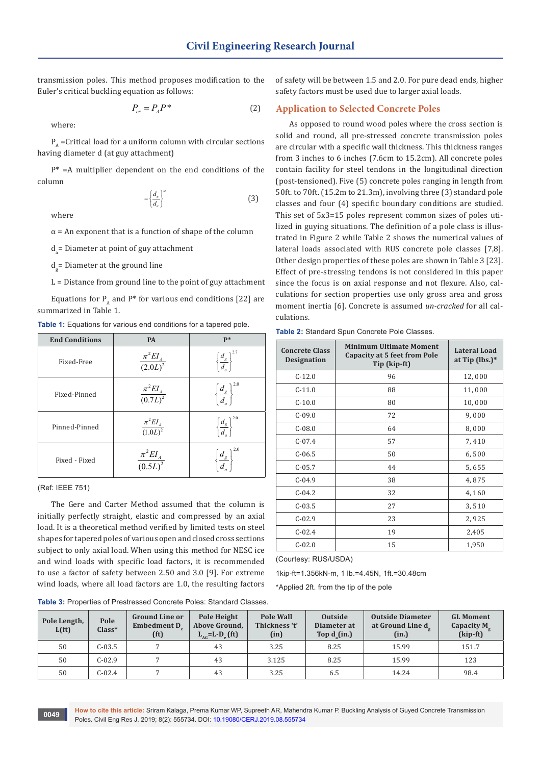transmission poles. This method proposes modification to the Euler's critical buckling equation as follows:

$$
P_{cr} = P_A P^* \tag{2}
$$

where:

 $P_A$  =Critical load for a uniform column with circular sections having diameter d (at guy attachment)

 $P^*$  =A multiplier dependent on the end conditions of the column

$$
=\left\{\frac{d_g}{d_a}\right\}^a\tag{3}
$$

where

 $\alpha$  = An exponent that is a function of shape of the column

 $d_a$  = Diameter at point of guy attachment

d<sub>g</sub>= Diameter at the ground line

 $L =$  Distance from ground line to the point of guy attachment

Equations for  $P_{A}$  and  $P^*$  for various end conditions [22] are summarized in Table 1.

**Table 1:** Equations for various end conditions for a tapered pole.

| <b>End Conditions</b> | PA                            | $P*$                                         |
|-----------------------|-------------------------------|----------------------------------------------|
| Fixed-Free            | $\frac{\pi^2 EI_A}{(2.0L)^2}$ | $\left\{\frac{d_{g}}{d_{a}}\right\}^{2.7}$   |
| Fixed-Pinned          | $\frac{\pi^2 EI_A}{(0.7L)^2}$ | $\left\{\frac{d_{g}}{d_{a}}\right\}^{2.0}$   |
| Pinned-Pinned         | $\frac{\pi^2 EI_A}{(1.0L)^2}$ | $\left\{\frac{d_{_g}}{d_{_a}}\right\}^{2.0}$ |
| Fixed - Fixed         | $\frac{\pi^2 EI_A}{(0.5L)^2}$ | 2.0<br>$\left  \frac{d_g}{d_g} \right $      |

(Ref: IEEE 751)

The Gere and Carter Method assumed that the column is initially perfectly straight, elastic and compressed by an axial load. It is a theoretical method verified by limited tests on steel shapes for tapered poles of various open and closed cross sections subject to only axial load. When using this method for NESC ice and wind loads with specific load factors, it is recommended to use a factor of safety between 2.50 and 3.0 [9]. For extreme wind loads, where all load factors are 1.0, the resulting factors

of safety will be between 1.5 and 2.0. For pure dead ends, higher safety factors must be used due to larger axial loads.

#### **Application to Selected Concrete Poles**

As opposed to round wood poles where the cross section is solid and round, all pre-stressed concrete transmission poles are circular with a specific wall thickness. This thickness ranges from 3 inches to 6 inches (7.6cm to 15.2cm). All concrete poles contain facility for steel tendons in the longitudinal direction (post-tensioned). Five (5) concrete poles ranging in length from 50ft. to 70ft. (15.2m to 21.3m), involving three (3) standard pole classes and four (4) specific boundary conditions are studied. This set of 5x3=15 poles represent common sizes of poles utilized in guying situations. The definition of a pole class is illustrated in Figure 2 while Table 2 shows the numerical values of lateral loads associated with RUS concrete pole classes [7,8]. Other design properties of these poles are shown in Table 3 [23]. Effect of pre-stressing tendons is not considered in this paper since the focus is on axial response and not flexure. Also, calculations for section properties use only gross area and gross moment inertia [6]. Concrete is assumed *un-cracked* for all calculations.

**Table 2:** Standard Spun Concrete Pole Classes.

| <b>Concrete Class</b><br><b>Designation</b> | Minimum Ultimate Moment<br><b>Capacity at 5 feet from Pole</b><br>Tip (kip-ft) | <b>Lateral Load</b><br>at Tip $(lbs.)^*$ |
|---------------------------------------------|--------------------------------------------------------------------------------|------------------------------------------|
| $C-12.0$                                    | 96                                                                             | 12,000                                   |
| $C-11.0$                                    | 88                                                                             | 11,000                                   |
| $C-10.0$                                    | 80                                                                             | 10,000                                   |
| $C-09.0$                                    | 72                                                                             | 9,000                                    |
| $C-08.0$                                    | 64                                                                             | 8,000                                    |
| $C-07.4$                                    | 57                                                                             | 7,410                                    |
| $C-06.5$                                    | 50                                                                             | 6,500                                    |
| $C-05.7$                                    | 44                                                                             | 5,655                                    |
| $C-04.9$                                    | 38                                                                             | 4,875                                    |
| $C-04.2$                                    | 32                                                                             | 4,160                                    |
| $C-03.5$                                    | 27                                                                             | 3,510                                    |
| $C-02.9$                                    | 23                                                                             | 2,925                                    |
| $C-02.4$                                    | 19                                                                             | 2,405                                    |
| $C-02.0$                                    | 15                                                                             | 1,950                                    |

(Courtesy: RUS/USDA)

1kip-ft=1.356kN-m, 1 lb.=4.45N, 1ft.=30.48cm

\*Applied 2ft. from the tip of the pole

**Table 3:** Properties of Prestressed Concrete Poles: Standard Classes.

| Pole Length,<br>L(f <sub>t</sub> ) | Pole<br>$Class*$ | <b>Ground Line or</b><br><b>Embedment D</b><br>(f <sup>t</sup> ) | Pole Height<br>Above Ground,<br>$L_{AG}$ =L-D <sub>e</sub> (ft) | <b>Pole Wall</b><br>Thickness 't'<br>(in) | <b>Outside</b><br>Diameter at<br>Top $d_1(in.)$ | <b>Outside Diameter</b><br>at Ground Line d<br>(in.) | <b>GL Moment</b><br>Capacity M <sub>a</sub><br>(kip-ft) |
|------------------------------------|------------------|------------------------------------------------------------------|-----------------------------------------------------------------|-------------------------------------------|-------------------------------------------------|------------------------------------------------------|---------------------------------------------------------|
| 50                                 | $C-03.5$         |                                                                  | 43                                                              | 3.25                                      | 8.25                                            | 15.99                                                | 151.7                                                   |
| 50                                 | $C-02.9$         |                                                                  | 43                                                              | 3.125                                     | 8.25                                            | 15.99                                                | 123                                                     |
| 50                                 | $C-02.4$         |                                                                  | 43                                                              | 3.25                                      | 6.5                                             | 14.24                                                | 98.4                                                    |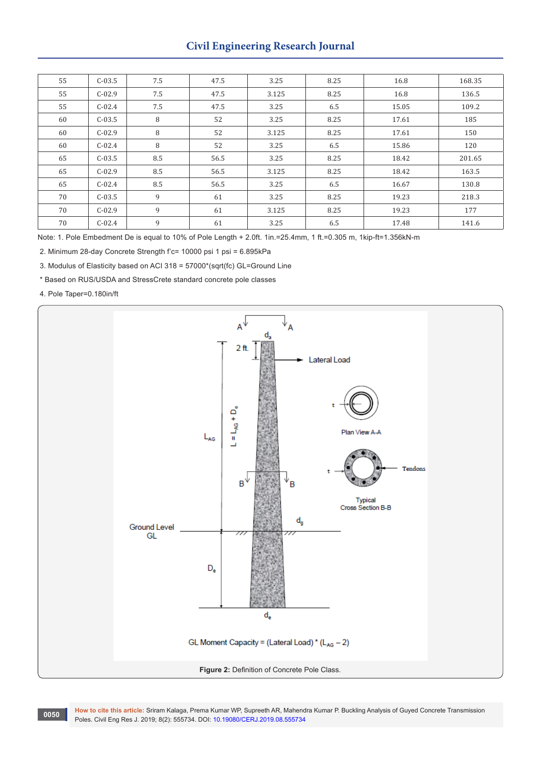# **Civil Engineering Research Journal**

| 55 | $C-03.5$ | 7.5 | 47.5 | 3.25  | 8.25 | 16.8  | 168.35 |
|----|----------|-----|------|-------|------|-------|--------|
| 55 | $C-02.9$ | 7.5 | 47.5 | 3.125 | 8.25 | 16.8  | 136.5  |
| 55 | $C-02.4$ | 7.5 | 47.5 | 3.25  | 6.5  | 15.05 | 109.2  |
| 60 | $C-03.5$ | 8   | 52   | 3.25  | 8.25 | 17.61 | 185    |
| 60 | $C-02.9$ | 8   | 52   | 3.125 | 8.25 | 17.61 | 150    |
| 60 | $C-02.4$ | 8   | 52   | 3.25  | 6.5  | 15.86 | 120    |
| 65 | $C-03.5$ | 8.5 | 56.5 | 3.25  | 8.25 | 18.42 | 201.65 |
| 65 | $C-02.9$ | 8.5 | 56.5 | 3.125 | 8.25 | 18.42 | 163.5  |
| 65 | $C-02.4$ | 8.5 | 56.5 | 3.25  | 6.5  | 16.67 | 130.8  |
| 70 | $C-03.5$ | 9   | 61   | 3.25  | 8.25 | 19.23 | 218.3  |
| 70 | $C-02.9$ | 9   | 61   | 3.125 | 8.25 | 19.23 | 177    |
| 70 | $C-02.4$ | 9   | 61   | 3.25  | 6.5  | 17.48 | 141.6  |

Note: 1. Pole Embedment De is equal to 10% of Pole Length + 2.0ft. 1in.=25.4mm, 1 ft.=0.305 m, 1kip-ft=1.356kN-m

2. Minimum 28-day Concrete Strength f'c= 10000 psi 1 psi = 6.895kPa

3. Modulus of Elasticity based on ACI 318 = 57000\*(sqrt(fc) GL=Ground Line

\* Based on RUS/USDA and StressCrete standard concrete pole classes

4. Pole Taper=0.180in/ft



**How to cite this article:** Sriram Kalaga, Prema Kumar WP, Supreeth AR, Mahendra Kumar P. Buckling Analysis of Guyed Concrete Transmission Poles. Civil Eng Res J. 2019; 8(2): 555734. DOI: [10.19080/CERJ.2019.08.555734](http://dx.doi.org/10.19080/CERJ.2019.08.555734)<br>Poles. Civil Eng Res J. 2019; 8(2): 555734. DOI: 10.19080/CERJ.2019.08.555734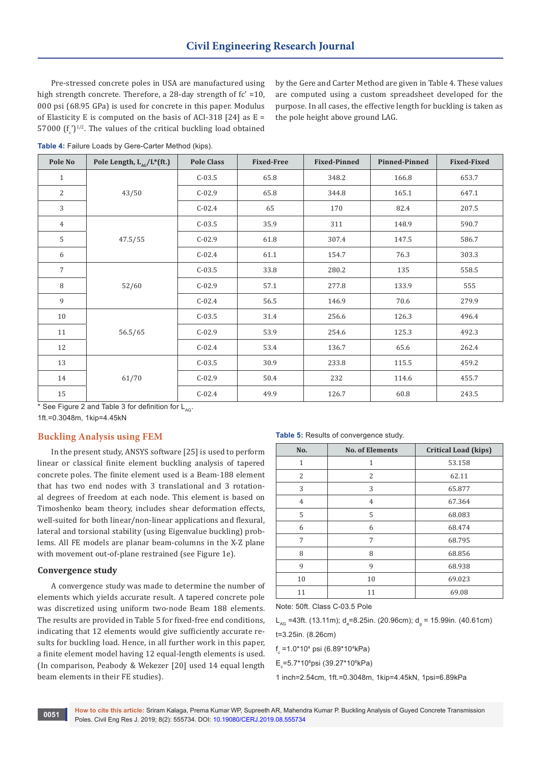Pre-stressed concrete poles in USA are manufactured using high strength concrete. Therefore, a 28-day strength of fc' =10, 000 psi (68.95 GPa) is used for concrete in this paper. Modulus of Elasticity E is computed on the basis of ACI-318 [24] as  $E =$ 57000  $(f'_c)^{1/2}$ . The values of the critical buckling load obtained by the Gere and Carter Method are given in Table 4. These values are computed using a custom spreadsheet developed for the purpose. In all cases, the effective length for buckling is taken as the pole height above ground LAG.

| Table 4: Failure Loads by Gere-Carter Method (kips). |  |  |  |
|------------------------------------------------------|--|--|--|
|------------------------------------------------------|--|--|--|

| Pole No         | Pole Length, $L_{AC}/L^{*}(ft.)$ | <b>Pole Class</b> | <b>Fixed-Free</b> | <b>Fixed-Pinned</b> | <b>Pinned-Pinned</b> | <b>Fixed-Fixed</b> |
|-----------------|----------------------------------|-------------------|-------------------|---------------------|----------------------|--------------------|
| $\mathbf{1}$    |                                  | $C-03.5$          | 65.8              | 348.2               | 166.8                | 653.7              |
| 2               | 43/50                            | $C-02.9$          | 65.8              | 344.8               | 165.1                | 647.1              |
| 3               |                                  | $C-02.4$          | 65                | 170                 | 82.4                 | 207.5              |
| $\overline{4}$  |                                  | $C-03.5$          | 35.9              | 311                 | 148.9                | 590.7              |
| 5               | 47.5/55                          | $C-02.9$          | 61.8              | 307.4               | 147.5                | 586.7              |
| 6               |                                  | $C-02.4$          | 61.1              | 154.7               | 76.3                 | 303.3              |
| $7\overline{ }$ | 52/60                            | $C-03.5$          | 33.8              | 280.2               | 135                  | 558.5              |
| 8               |                                  | $C-02.9$          | 57.1              | 277.8               | 133.9                | 555                |
| 9               |                                  | $C-02.4$          | 56.5              | 146.9               | 70.6                 | 279.9              |
| 10              |                                  | $C-03.5$          | 31.4              | 256.6               | 126.3                | 496.4              |
| 11              | 56.5/65                          | $C-02.9$          | 53.9              | 254.6               | 125.3                | 492.3              |
| 12              |                                  | $C-02.4$          | 53.4              | 136.7               | 65.6                 | 262.4              |
| 13              | 61/70                            | $C-03.5$          | 30.9              | 233.8               | 115.5                | 459.2              |
| 14              |                                  | $C-02.9$          | 50.4              | 232                 | 114.6                | 455.7              |
| 15              |                                  | $C-02.4$          | 49.9              | 126.7               | 60.8                 | 243.5              |

\* See Figure 2 and Table 3 for definition for  $L_{AC}$ .

1ft.=0.3048m, 1kip=4.45kN

## **Buckling Analysis using FEM**

In the present study, ANSYS software [25] is used to perform linear or classical finite element buckling analysis of tapered concrete poles. The finite element used is a Beam-188 element that has two end nodes with 3 translational and 3 rotational degrees of freedom at each node. This element is based on Timoshenko beam theory, includes shear deformation effects, well-suited for both linear/non-linear applications and flexural, lateral and torsional stability (using Eigenvalue buckling) problems. All FE models are planar beam-columns in the X-Z plane with movement out-of-plane restrained (see Figure 1e).

#### **Convergence study**

A convergence study was made to determine the number of elements which yields accurate result. A tapered concrete pole was discretized using uniform two-node Beam 188 elements. The results are provided in Table 5 for fixed-free end conditions, indicating that 12 elements would give sufficiently accurate results for buckling load. Hence, in all further work in this paper, a finite element model having 12 equal-length elements is used. (In comparison, Peabody & Wekezer [20] used 14 equal length beam elements in their FE studies).

#### **Table 5:** Results of convergence study.

| No.            | <b>No. of Elements</b> | <b>Critical Load (kips)</b> |  |  |
|----------------|------------------------|-----------------------------|--|--|
| $\mathbf{1}$   | 1                      | 53.158                      |  |  |
| 2              | 2                      | 62.11                       |  |  |
| 3              | 3                      | 65.877                      |  |  |
| $\overline{4}$ | $\overline{4}$         | 67.364                      |  |  |
| 5              | 5                      | 68.083                      |  |  |
| 6              | 6                      | 68.474                      |  |  |
| 7              | 7                      | 68.795                      |  |  |
| 8              | 8                      | 68.856                      |  |  |
| 9              | 9                      | 68.938                      |  |  |
| 10             | 10                     | 69.023                      |  |  |
| 11             | 11                     | 69.08                       |  |  |

Note: 50ft. Class C-03.5 Pole

L<sub>AG</sub> =43ft. (13.11m); d<sub>a</sub>=8.25in. (20.96cm); d<sub>g</sub> = 15.99in. (40.61cm)

t=3.25in. (8.26cm)

f<sub>c</sub> =1.0\*10<sup>4</sup> psi (6.89\*10<sup>4</sup>kPa)

E<sub>c</sub>=5.7\*10<sup>6</sup>psi (39.27\*10<sup>6</sup>kPa)

1 inch=2.54cm, 1ft.=0.3048m, 1kip=4.45kN, 1psi=6.89kPa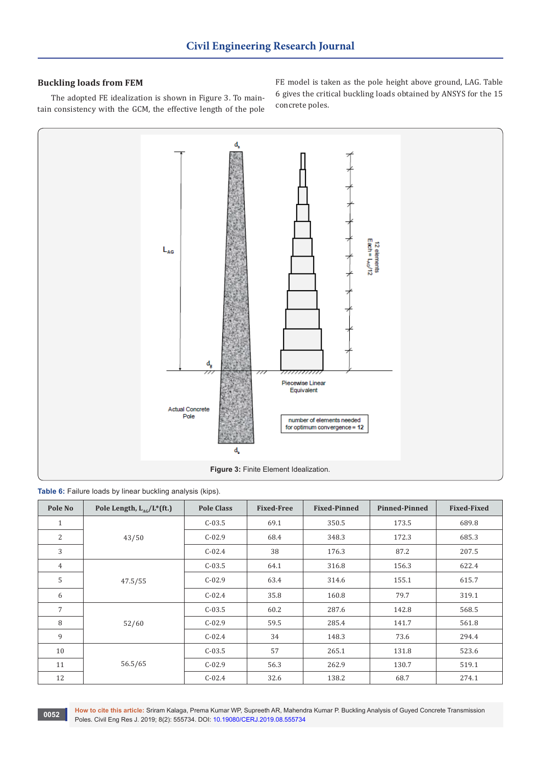# **Buckling loads from FEM**

The adopted FE idealization is shown in Figure 3. To maintain consistency with the GCM, the effective length of the pole FE model is taken as the pole height above ground, LAG. Table 6 gives the critical buckling loads obtained by ANSYS for the 15 concrete poles.



**Table 6:** Failure loads by linear buckling analysis (kips).

| Pole No        | Pole Length, $L_{AC}/L^{*}$ (ft.) | <b>Pole Class</b> | <b>Fixed-Free</b> | <b>Fixed-Pinned</b> | <b>Pinned-Pinned</b> | <b>Fixed-Fixed</b> |
|----------------|-----------------------------------|-------------------|-------------------|---------------------|----------------------|--------------------|
| $\mathbf{1}$   |                                   | $C-03.5$          | 69.1              | 350.5               | 173.5                | 689.8              |
| 2              | 43/50                             | $C-02.9$          | 68.4              | 348.3               | 172.3                | 685.3              |
| 3              |                                   | $C-02.4$          | 38                | 176.3               | 87.2                 | 207.5              |
| $\overline{4}$ |                                   | $C-03.5$          | 64.1              | 316.8               | 156.3                | 622.4              |
| 5              | 47.5/55                           | $C-02.9$          | 63.4              | 314.6               | 155.1                | 615.7              |
| 6              |                                   | $C-02.4$          | 35.8              | 160.8               | 79.7                 | 319.1              |
| $\overline{7}$ |                                   | $C-03.5$          | 60.2              | 287.6               | 142.8                | 568.5              |
| 8              | 52/60                             | $C-02.9$          | 59.5              | 285.4               | 141.7                | 561.8              |
| 9              |                                   | $C-02.4$          | 34                | 148.3               | 73.6                 | 294.4              |
| 10             | 56.5/65                           | $C-03.5$          | 57                | 265.1               | 131.8                | 523.6              |
| 11             |                                   | $C-02.9$          | 56.3              | 262.9               | 130.7                | 519.1              |
| 12             |                                   | $C-02.4$          | 32.6              | 138.2               | 68.7                 | 274.1              |

**How to cite this article:** Sriram Kalaga, Prema Kumar WP, Supreeth AR, Mahendra Kumar P. Buckling Analysis of Guyed Concrete Transmission Poles. Civil Eng Res J. 2019; 8(2): 555734. DOI: [10.19080/CERJ.2019.08.555734](http://dx.doi.org/10.19080/CERJ.2019.08.555734) **<sup>0052</sup>**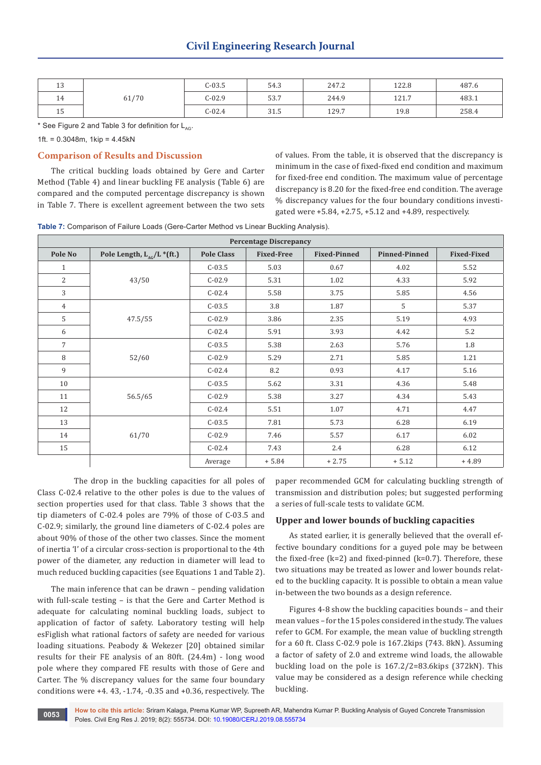| $\overline{ }$<br>⊥∪ |       | $C-03.5$ | 54.3 | 247.2 | 122.8 | 487.6 |
|----------------------|-------|----------|------|-------|-------|-------|
| 14                   | 61/70 | $C-02.9$ | 53.7 | 244.9 | 121.7 | 483.1 |
| E<br>⊥∪              |       | $C-02.4$ | 31.5 | 129.7 | 19.8  | 258.4 |

\* See Figure 2 and Table 3 for definition for  $L_{AC}$ .

1ft. =  $0.3048$ m, 1kip =  $4.45kN$ 

# **Comparison of Results and Discussion**

The critical buckling loads obtained by Gere and Carter Method (Table 4) and linear buckling FE analysis (Table 6) are compared and the computed percentage discrepancy is shown in Table 7. There is excellent agreement between the two sets of values. From the table, it is observed that the discrepancy is minimum in the case of fixed-fixed end condition and maximum for fixed-free end condition. The maximum value of percentage discrepancy is 8.20 for the fixed-free end condition. The average % discrepancy values for the four boundary conditions investigated were +5.84, +2.75, +5.12 and +4.89, respectively.

**Table 7:** Comparison of Failure Loads (Gere-Carter Method vs Linear Buckling Analysis).

| <b>Percentage Discrepancy</b> |                                |                   |                   |                     |                      |                    |  |
|-------------------------------|--------------------------------|-------------------|-------------------|---------------------|----------------------|--------------------|--|
| Pole No                       | Pole Length, $L_{AC}/L$ *(ft.) | <b>Pole Class</b> | <b>Fixed-Free</b> | <b>Fixed-Pinned</b> | <b>Pinned-Pinned</b> | <b>Fixed-Fixed</b> |  |
| $\mathbf{1}$                  |                                | $C-03.5$          | 5.03              | 0.67                | 4.02                 | 5.52               |  |
| 2                             | 43/50                          | $C-02.9$          | 5.31              | 1.02                | 4.33                 | 5.92               |  |
| 3                             |                                | $C-02.4$          | 5.58              | 3.75                | 5.85                 | 4.56               |  |
| 4                             |                                | $C-03.5$          | 3.8               | 1.87                | 5                    | 5.37               |  |
| 5                             | 47.5/55                        | $C-02.9$          | 3.86              | 2.35                | 5.19                 | 4.93               |  |
| 6                             |                                | $C-02.4$          | 5.91              | 3.93                | 4.42                 | 5.2                |  |
| $\overline{7}$                |                                | $C-03.5$          | 5.38              | 2.63                | 5.76                 | 1.8                |  |
| 8                             | 52/60                          | $C-02.9$          | 5.29              | 2.71                | 5.85                 | 1.21               |  |
| 9                             |                                | $C-02.4$          | 8.2               | 0.93                | 4.17                 | 5.16               |  |
| 10                            |                                | $C-03.5$          | 5.62              | 3.31                | 4.36                 | 5.48               |  |
| 11                            | 56.5/65                        | $C-02.9$          | 5.38              | 3.27                | 4.34                 | 5.43               |  |
| 12                            |                                | $C-02.4$          | 5.51              | 1.07                | 4.71                 | 4.47               |  |
| 13                            |                                | $C-03.5$          | 7.81              | 5.73                | 6.28                 | 6.19               |  |
| 14                            | 61/70                          | $C-02.9$          | 7.46              | 5.57                | 6.17                 | 6.02               |  |
| 15                            |                                | $C-02.4$          | 7.43              | 2.4                 | 6.28                 | 6.12               |  |
|                               |                                | Average           | $+5.84$           | $+2.75$             | $+ 5.12$             | $+4.89$            |  |

The drop in the buckling capacities for all poles of Class C-02.4 relative to the other poles is due to the values of section properties used for that class. Table 3 shows that the tip diameters of C-02.4 poles are 79% of those of C-03.5 and C-02.9; similarly, the ground line diameters of C-02.4 poles are about 90% of those of the other two classes. Since the moment of inertia 'I' of a circular cross-section is proportional to the 4th power of the diameter, any reduction in diameter will lead to much reduced buckling capacities (see Equations 1 and Table 2).

The main inference that can be drawn – pending validation with full-scale testing – is that the Gere and Carter Method is adequate for calculating nominal buckling loads, subject to application of factor of safety. Laboratory testing will help esFiglish what rational factors of safety are needed for various loading situations. Peabody & Wekezer [20] obtained similar results for their FE analysis of an 80ft. (24.4m) - long wood pole where they compared FE results with those of Gere and Carter. The % discrepancy values for the same four boundary conditions were  $+4.43, -1.74, -0.35$  and  $+0.36$ , respectively. The

paper recommended GCM for calculating buckling strength of transmission and distribution poles; but suggested performing a series of full-scale tests to validate GCM.

## **Upper and lower bounds of buckling capacities**

As stated earlier, it is generally believed that the overall effective boundary conditions for a guyed pole may be between the fixed-free (k=2) and fixed-pinned (k=0.7). Therefore, these two situations may be treated as lower and lower bounds related to the buckling capacity. It is possible to obtain a mean value in-between the two bounds as a design reference.

Figures 4-8 show the buckling capacities bounds – and their mean values – for the 15 poles considered in the study. The values refer to GCM. For example, the mean value of buckling strength for a 60 ft. Class C-02.9 pole is 167.2kips (743. 8kN). Assuming a factor of safety of 2.0 and extreme wind loads, the allowable buckling load on the pole is 167.2/2=83.6kips (372kN). This value may be considered as a design reference while checking buckling.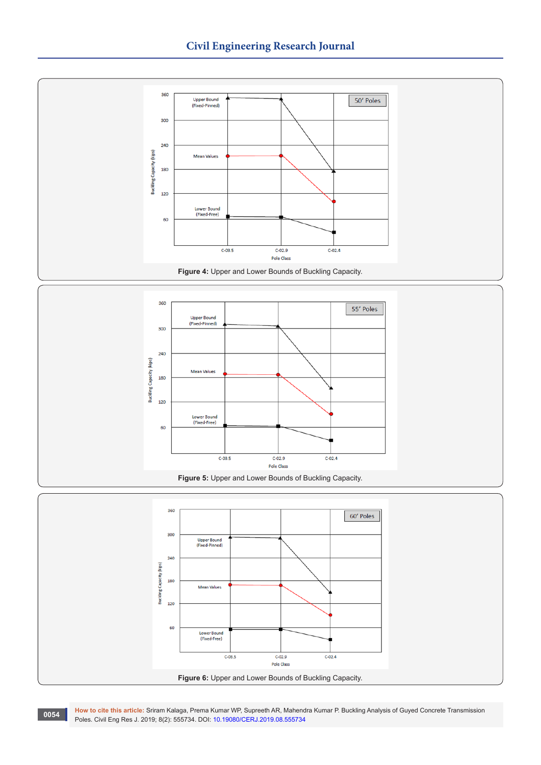

**How to cite this article:** Sriram Kalaga, Prema Kumar WP, Supreeth AR, Mahendra Kumar P. Buckling Analysis of Guyed Concrete Transmission Poles. Civil Eng Res J. 2019; 8(2): 555734. DOI: [10.19080/CERJ.2019.08.555734](http://dx.doi.org/10.19080/CERJ.2019.08.555734)<br>Poles. Civil Eng Res J. 2019; 8(2): 555734. DOI: 10.19080/CERJ.2019.08.555734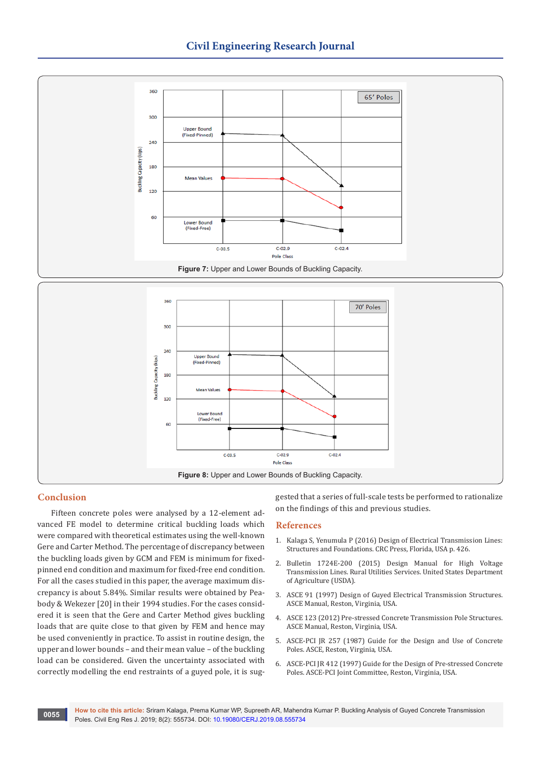

# **Conclusion**

Fifteen concrete poles were analysed by a 12-element advanced FE model to determine critical buckling loads which were compared with theoretical estimates using the well-known Gere and Carter Method. The percentage of discrepancy between the buckling loads given by GCM and FEM is minimum for fixedpinned end condition and maximum for fixed-free end condition. For all the cases studied in this paper, the average maximum discrepancy is about 5.84%. Similar results were obtained by Peabody & Wekezer [20] in their 1994 studies. For the cases considered it is seen that the Gere and Carter Method gives buckling loads that are quite close to that given by FEM and hence may be used conveniently in practice. To assist in routine design, the upper and lower bounds – and their mean value – of the buckling load can be considered. Given the uncertainty associated with correctly modelling the end restraints of a guyed pole, it is suggested that a series of full-scale tests be performed to rationalize on the findings of this and previous studies.

## **References**

- 1. [Kalaga S, Yenumula P \(2016\) Design of Electrical Transmission Lines:](https://www.crcpress.com/Design-of-Electrical-Transmission-Lines-Structures-and-Foundations/Kalaga-Yenumula/p/book/9781138000919)  [Structures and Foundations. CRC Press, Florida, USA p. 426.](https://www.crcpress.com/Design-of-Electrical-Transmission-Lines-Structures-and-Foundations/Kalaga-Yenumula/p/book/9781138000919)
- 2. [Bulletin 1724E-200 \(2015\) Design Manual for High Voltage](https://www.rd.usda.gov/files/UEP_Bulletin_1724E-200.pdf)  [Transmission Lines. Rural Utilities Services. United States Department](https://www.rd.usda.gov/files/UEP_Bulletin_1724E-200.pdf)  [of Agriculture \(USDA\).](https://www.rd.usda.gov/files/UEP_Bulletin_1724E-200.pdf)
- 3. [ASCE 91 \(1997\) Design of Guyed Electrical Transmission Structures.](https://ascelibrary.org/doi/book/10.1061/9780784402849)  [ASCE Manual, Reston, Virginia, USA.](https://ascelibrary.org/doi/book/10.1061/9780784402849)
- 4. [ASCE 123 \(2012\) Pre-stressed Concrete Transmission Pole Structures.](https://ascelibrary.org/doi/book/10.1061/9780784412114)  [ASCE Manual, Reston, Virginia, USA.](https://ascelibrary.org/doi/book/10.1061/9780784412114)
- 5. [ASCE-PCI JR 257 \(1987\) Guide for the Design and Use of Concrete](https://cedb.asce.org/CEDBsearch/record.jsp?dockey=0052701)  [Poles. ASCE, Reston, Virginia, USA.](https://cedb.asce.org/CEDBsearch/record.jsp?dockey=0052701)
- 6. [ASCE-PCI JR 412 \(1997\) Guide for the Design of Pre-stressed Concrete](https://cedb.asce.org/CEDBsearch/record.jsp?dockey=0086736)  [Poles. ASCE-PCI Joint Committee, Reston, Virginia, USA.](https://cedb.asce.org/CEDBsearch/record.jsp?dockey=0086736)